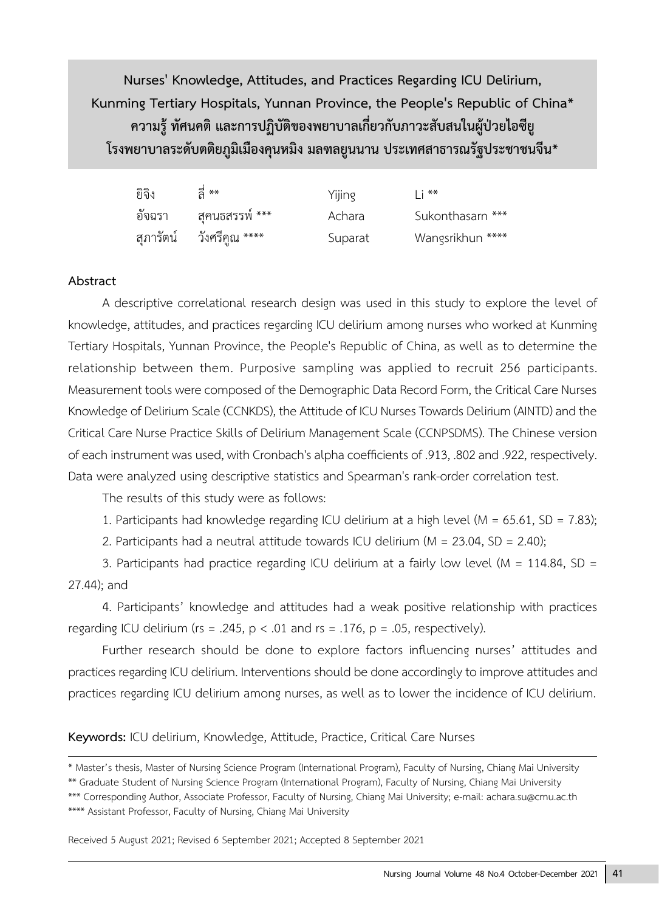**Nurses' Knowledge, Attitudes, and Practices Regarding ICU Delirium, Kunming Tertiary Hospitals, Yunnan Province, the People's Republic of China\* ความรู้ ทัศนคติ และการปฏิบัติของพยาบาลเกี่ยวกับภาวะสับสนในผู้ป่วยไอซียู โรงพยาบาลระดับตติยภูมิเมืองคุนหมิง มลฑลยูนนาน ประเทศสาธารณรัฐประชาชนจีน\***

| ยิจิง | $\frac{a}{2}$ **         | Yijing  | $\mathsf{I}$ i ** |
|-------|--------------------------|---------|-------------------|
|       | อัจฉรา สุคนธสรรพ์ ***    | Achara  | Sukonthasarn ***  |
|       | สุภารัตน์ วังศรีคูณ **** | Suparat | Wangsrikhun ****  |

#### **Abstract**

A descriptive correlational research design was used in this study to explore the level of knowledge, attitudes, and practices regarding ICU delirium among nurses who worked at Kunming Tertiary Hospitals, Yunnan Province, the People's Republic of China, as well as to determine the relationship between them. Purposive sampling was applied to recruit 256 participants. Measurement tools were composed of the Demographic Data Record Form, the Critical Care Nurses Knowledge of Delirium Scale (CCNKDS), the Attitude of ICU Nurses Towards Delirium (AINTD) and the Critical Care Nurse Practice Skills of Delirium Management Scale (CCNPSDMS). The Chinese version of each instrument was used, with Cronbach's alpha coefficients of .913, .802 and .922, respectively. Data were analyzed using descriptive statistics and Spearman's rank-order correlation test.

The results of this study were as follows:

1. Participants had knowledge regarding ICU delirium at a high level ( $M = 65.61$ , SD = 7.83);

2. Participants had a neutral attitude towards ICU delirium (M = 23.04, SD = 2.40);

3. Participants had practice regarding ICU delirium at a fairly low level ( $M = 114.84$ , SD = 27.44); and

4. Participants' knowledge and attitudes had a weak positive relationship with practices regarding ICU delirium (rs = .245,  $p < .01$  and rs = .176,  $p = .05$ , respectively).

Further research should be done to explore factors influencing nurses' attitudes and practices regarding ICU delirium. Interventions should be done accordingly to improve attitudes and practices regarding ICU delirium among nurses, as well as to lower the incidence of ICU delirium.

**Keywords:** ICU delirium, Knowledge, Attitude, Practice, Critical Care Nurses

<sup>\*</sup> Master's thesis, Master of Nursing Science Program (International Program), Faculty of Nursing, Chiang Mai University

<sup>\*\*</sup> Graduate Student of Nursing Science Program (International Program), Faculty of Nursing, Chiang Mai University

<sup>\*\*\*</sup> Corresponding Author, Associate Professor, Faculty of Nursing, Chiang Mai University; e-mail: achara.su@cmu.ac.th \*\*\*\* Assistant Professor, Faculty of Nursing, Chiang Mai University

Received 5 August 2021; Revised 6 September 2021; Accepted 8 September 2021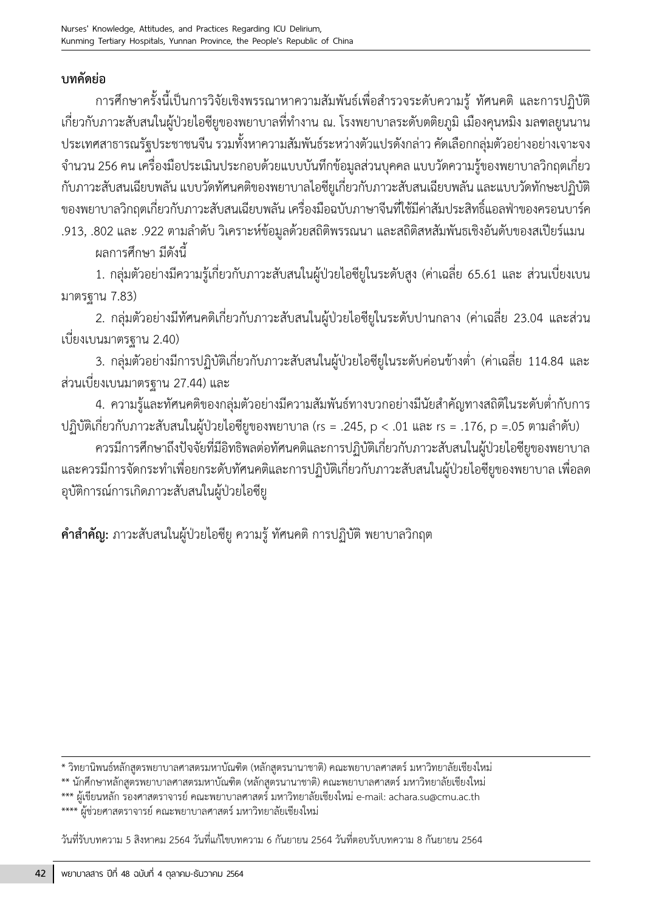# **บทคัดย่อ**

การศึกษาครั้งนี้เป็นการวิจัยเชิงพรรณาหาความสัมพันธ์เพื่อสำรวจระดับความรู้ ทัศนคติ และการปฏิบัติ เกี่ยวกับภาวะสับสนในผู้ป่วยไอซียูของพยาบาลที่ท�างาน ณ. โรงพยาบาลระดับตติยภูมิ เมืองคุนหมิง มลฑลยูนนาน ประเทศสาธารณรัฐประชาชนจีน รวมทั้งหาความสัมพันธ์ระหว่างตัวแปรดังกล่าว คัดเลือกกลุ่มตัวอย่างอย่างเจาะจง จ�านวน 256 คน เครื่องมือประเมินประกอบด้วยแบบบันทึกข้อมูลส่วนบุคคล แบบวัดความรู้ของพยาบาลวิกฤตเกี่ยว กับภาวะสับสนเฉียบพลัน แบบวัดทัศนคติของพยาบาลไอซียูเกี่ยวกับภาวะสับสนเฉียบพลัน และแบบวัดทักษะปฏิบัติ ของพยาบาลวิกฤตเกี่ยวกับภาวะสับสนเฉียบพลัน เครื่องมือฉบับภาษาจีนที่ใช้มีค่าสัมประสิทธิ์แอลฟ่าของครอนบาร์ค .913, .802 และ .922 ตามลำดับ วิเคราะห์ข้อมูลด้วยสถิติพรรณนา และสถิติสหสัมพันธเชิงอันดับของสเปียร์แมน ผลการศึกษา มีดังนี้

1. กลุ่มตัวอย่างมีความรู้เกี่ยวกับภาวะสับสนในผู้ป่วยไอซียูในระดับสูง (ค่าเฉลี่ย 65.61 และ ส่วนเบี่ยงเบน มาตรฐาน 7.83)

2. กลุ่มตัวอย่างมีทัศนคติเกี่ยวกับภาวะสับสนในผู้ป่วยไอซียูในระดับปานกลาง (ค่าเฉลี่ย 23.04 และส่วน เบี่ยงเบนมาตรฐาน 2.40)

3. กลุ่มตัวอย่างมีการปฏิบัติเกี่ยวกับภาวะสับสนในผู้ป่วยไอซียูในระดับค่อนข้างต่ำ (ค่าเฉลี่ย 114.84 และ ส่วนเบี่ยงเบนมาตรฐาน 27.44) และ

4. ความรู้และทัศนคติของกลุ่มตัวอย่างมีความสัมพันธ์ทางบวกอย่างมีนัยสำคัญทางสถิติในระดับต่ำกับการ ปฏิบัติเกี่ยวกับภาวะสับสนในผู้ป่วยไอซียูของพยาบาล (rs = .245, p < .01 และ rs = .176, p =.05 ตามลำดับ)

ควรมีการศึกษาถึงปัจจัยที่มีอิทธิพลต่อทัศนคติและการปฏิบัติเกี่ยวกับภาวะสับสนในผู้ป่วยไอซียูของพยาบาล และควรมีการจัดกระทำเพื่อยกระดับทัศนคติและการปฏิบัติเกี่ยวกับภาวะสับสนในผู้ป่วยไอซียูของพยาบาล เพื่อลด อุบัติการณ์การเกิดภาวะสับสนในผู้ป่วยไอซียู

**ค�าส�าคัญ:** ภาวะสับสนในผู้ป่วยไอซียู ความรู้ ทัศนคติ การปฏิบัติ พยาบาลวิกฤต

\* วิทยานิพนธ์หลักสูตรพยาบาลศาสตรมหาบัณฑิต (หลักสูตรนานาชาติ) คณะพยาบาลศาสตร์ มหาวิทยาลัยเชียงใหม่

\*\* นักศึกษาหลักสูตรพยาบาลศาสตรมหาบัณฑิต (หลักสูตรนานาชาติ) คณะพยาบาลศาสตร์ มหาวิทยาลัยเชียงใหม่

\*\*\* ผู้เขียนหลัก รองศาสตราจารย์ คณะพยาบาลศาสตร์ มหาวิทยาลัยเชียงใหม่ e-mail: achara.su@cmu.ac.th \*\*\*\* ผู้ช่วยศาสตราจารย์ คณะพยาบาลศาสตร์ มหาวิทยาลัยเชียงใหม่

วันที่รับบทความ 5 สิงหาคม 2564 วันที่แก้ไขบทความ 6 กันยายน 2564 วันที่ตอบรับบทความ 8 กันยายน 2564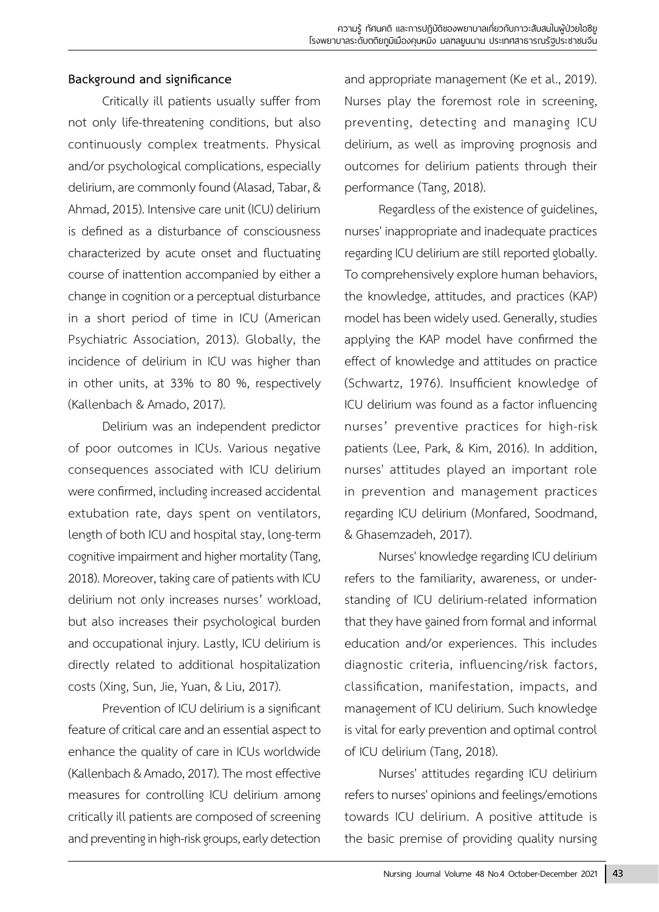# **Background and significance**

Critically ill patients usually suffer from not only life-threatening conditions, but also continuously complex treatments. Physical and/or psychological complications, especially delirium, are commonly found (Alasad, Tabar, & Ahmad, 2015). Intensive care unit (ICU) delirium is defined as a disturbance of consciousness characterized by acute onset and fluctuating course of inattention accompanied by either a change in cognition or a perceptual disturbance in a short period of time in ICU (American Psychiatric Association, 2013). Globally, the incidence of delirium in ICU was higher than in other units, at 33% to 80 %, respectively (Kallenbach & Amado, 2017).

Delirium was an independent predictor of poor outcomes in ICUs. Various negative consequences associated with ICU delirium were confirmed, including increased accidental extubation rate, days spent on ventilators, length of both ICU and hospital stay, long-term cognitive impairment and higher mortality (Tang, 2018). Moreover, taking care of patients with ICU delirium not only increases nurses' workload, but also increases their psychological burden and occupational injury. Lastly, ICU delirium is directly related to additional hospitalization costs (Xing, Sun, Jie, Yuan, & Liu, 2017).

Prevention of ICU delirium is a significant feature of critical care and an essential aspect to enhance the quality of care in ICUs worldwide (Kallenbach & Amado, 2017). The most effective measures for controlling ICU delirium among critically ill patients are composed of screening and preventing in high-risk groups, early detection

and appropriate management (Ke et al., 2019). Nurses play the foremost role in screening, preventing, detecting and managing ICU delirium, as well as improving prognosis and outcomes for delirium patients through their performance (Tang, 2018).

Regardless of the existence of guidelines, nurses' inappropriate and inadequate practices regarding ICU delirium are still reported globally. To comprehensively explore human behaviors, the knowledge, attitudes, and practices (KAP) model has been widely used. Generally, studies applying the KAP model have confirmed the effect of knowledge and attitudes on practice (Schwartz, 1976). Insufficient knowledge of ICU delirium was found as a factor influencing nurses' preventive practices for high-risk patients (Lee, Park, & Kim, 2016). In addition, nurses' attitudes played an important role in prevention and management practices regarding ICU delirium (Monfared, Soodmand, & Ghasemzadeh, 2017).

Nurses' knowledge regarding ICU delirium refers to the familiarity, awareness, or understanding of ICU delirium-related information that they have gained from formal and informal education and/or experiences. This includes diagnostic criteria, influencing/risk factors, classification, manifestation, impacts, and management of ICU delirium. Such knowledge is vital for early prevention and optimal control of ICU delirium (Tang, 2018).

Nurses' attitudes regarding ICU delirium refers to nurses' opinions and feelings/emotions towards ICU delirium. A positive attitude is the basic premise of providing quality nursing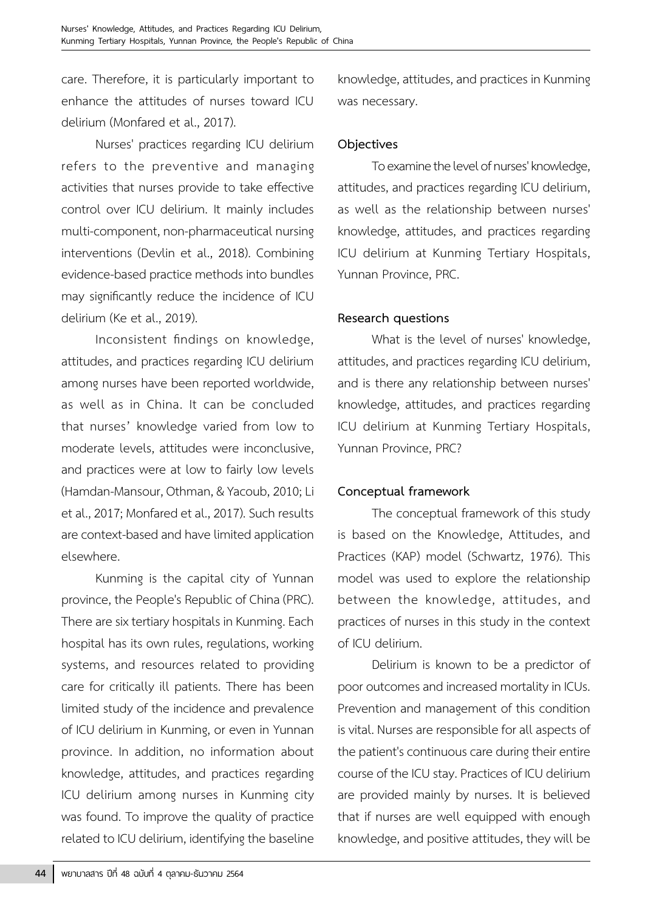care. Therefore, it is particularly important to enhance the attitudes of nurses toward ICU delirium (Monfared et al., 2017).

Nurses' practices regarding ICU delirium refers to the preventive and managing activities that nurses provide to take effective control over ICU delirium. It mainly includes multi-component, non-pharmaceutical nursing interventions (Devlin et al., 2018). Combining evidence-based practice methods into bundles may significantly reduce the incidence of ICU delirium (Ke et al., 2019).

Inconsistent findings on knowledge, attitudes, and practices regarding ICU delirium among nurses have been reported worldwide, as well as in China. It can be concluded that nurses' knowledge varied from low to moderate levels, attitudes were inconclusive, and practices were at low to fairly low levels (Hamdan-Mansour, Othman, & Yacoub, 2010; Li et al., 2017; Monfared et al., 2017). Such results are context-based and have limited application elsewhere.

Kunming is the capital city of Yunnan province, the People's Republic of China (PRC). There are six tertiary hospitals in Kunming. Each hospital has its own rules, regulations, working systems, and resources related to providing care for critically ill patients. There has been limited study of the incidence and prevalence of ICU delirium in Kunming, or even in Yunnan province. In addition, no information about knowledge, attitudes, and practices regarding ICU delirium among nurses in Kunming city was found. To improve the quality of practice related to ICU delirium, identifying the baseline

knowledge, attitudes, and practices in Kunming was necessary.

## **Objectives**

To examine the level of nurses' knowledge, attitudes, and practices regarding ICU delirium, as well as the relationship between nurses' knowledge, attitudes, and practices regarding ICU delirium at Kunming Tertiary Hospitals, Yunnan Province, PRC.

## **Research questions**

What is the level of nurses' knowledge, attitudes, and practices regarding ICU delirium, and is there any relationship between nurses' knowledge, attitudes, and practices regarding ICU delirium at Kunming Tertiary Hospitals, Yunnan Province, PRC?

# **Conceptual framework**

The conceptual framework of this study is based on the Knowledge, Attitudes, and Practices (KAP) model (Schwartz, 1976). This model was used to explore the relationship between the knowledge, attitudes, and practices of nurses in this study in the context of ICU delirium.

Delirium is known to be a predictor of poor outcomes and increased mortality in ICUs. Prevention and management of this condition is vital. Nurses are responsible for all aspects of the patient's continuous care during their entire course of the ICU stay. Practices of ICU delirium are provided mainly by nurses. It is believed that if nurses are well equipped with enough knowledge, and positive attitudes, they will be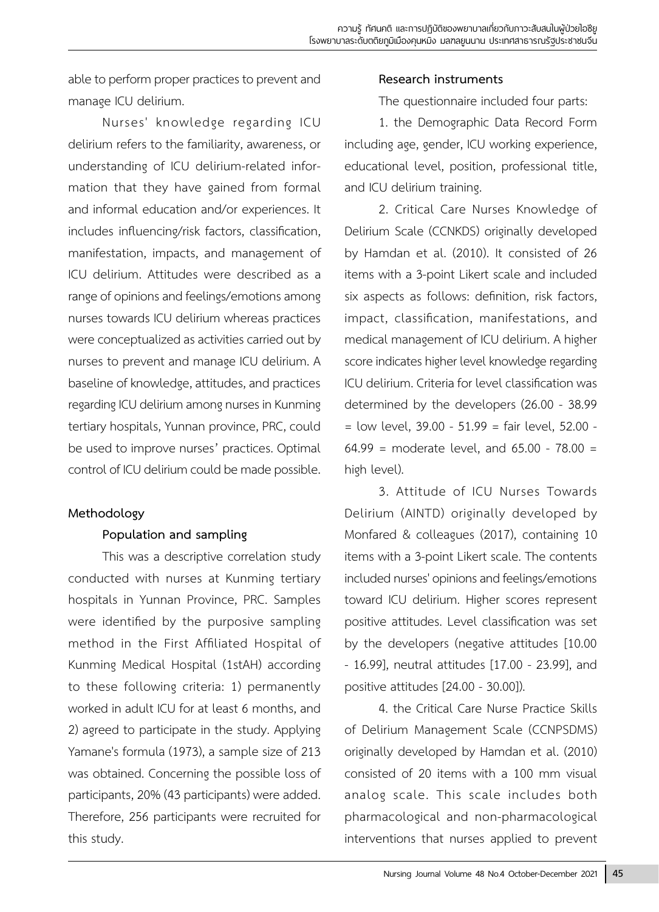able to perform proper practices to prevent and manage ICU delirium.

Nurses' knowledge regarding ICU delirium refers to the familiarity, awareness, or understanding of ICU delirium-related information that they have gained from formal and informal education and/or experiences. It includes influencing/risk factors, classification, manifestation, impacts, and management of ICU delirium. Attitudes were described as a range of opinions and feelings/emotions among nurses towards ICU delirium whereas practices were conceptualized as activities carried out by nurses to prevent and manage ICU delirium. A baseline of knowledge, attitudes, and practices regarding ICU delirium among nurses in Kunming tertiary hospitals, Yunnan province, PRC, could be used to improve nurses' practices. Optimal control of ICU delirium could be made possible.

# **Methodology**

# **Population and sampling**

This was a descriptive correlation study conducted with nurses at Kunming tertiary hospitals in Yunnan Province, PRC. Samples were identified by the purposive sampling method in the First Affiliated Hospital of Kunming Medical Hospital (1stAH) according to these following criteria: 1) permanently worked in adult ICU for at least 6 months, and 2) agreed to participate in the study. Applying Yamane's formula (1973), a sample size of 213 was obtained. Concerning the possible loss of participants, 20% (43 participants) were added. Therefore, 256 participants were recruited for this study.

## **Research instruments**

The questionnaire included four parts:

1. the Demographic Data Record Form including age, gender, ICU working experience, educational level, position, professional title, and ICU delirium training.

2. Critical Care Nurses Knowledge of Delirium Scale (CCNKDS) originally developed by Hamdan et al. (2010). It consisted of 26 items with a 3-point Likert scale and included six aspects as follows: definition, risk factors, impact, classification, manifestations, and medical management of ICU delirium. A higher score indicates higher level knowledge regarding ICU delirium. Criteria for level classification was determined by the developers (26.00 - 38.99  $=$  low level, 39.00 - 51.99  $=$  fair level, 52.00 -64.99 = moderate level, and 65.00 - 78.00 = high level).

3. Attitude of ICU Nurses Towards Delirium (AINTD) originally developed by Monfared & colleagues (2017), containing 10 items with a 3-point Likert scale. The contents included nurses' opinions and feelings/emotions toward ICU delirium. Higher scores represent positive attitudes. Level classification was set by the developers (negative attitudes [10.00 - 16.99], neutral attitudes [17.00 - 23.99], and positive attitudes [24.00 - 30.00]).

4. the Critical Care Nurse Practice Skills of Delirium Management Scale (CCNPSDMS) originally developed by Hamdan et al. (2010) consisted of 20 items with a 100 mm visual analog scale. This scale includes both pharmacological and non-pharmacological interventions that nurses applied to prevent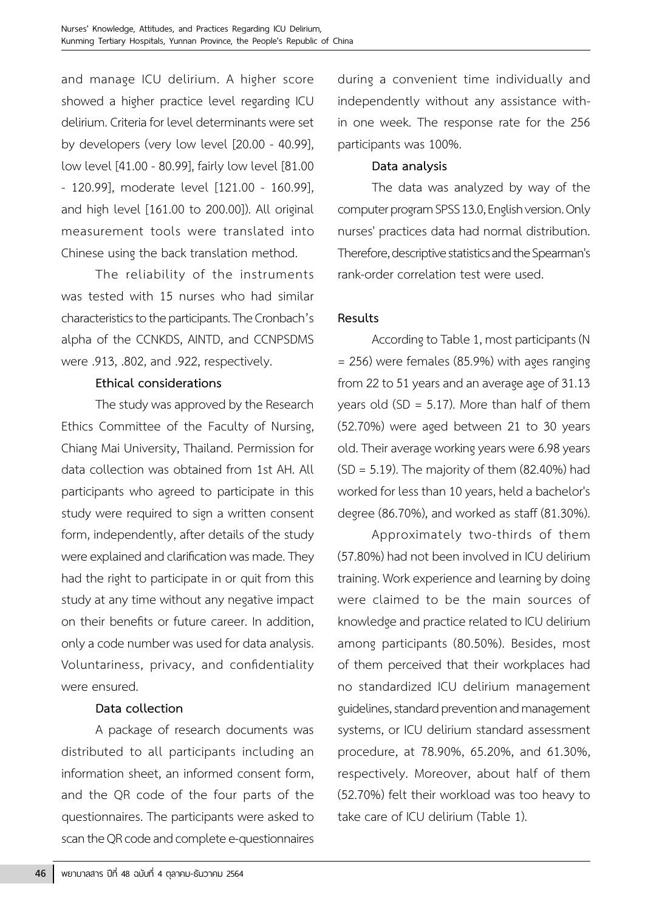and manage ICU delirium. A higher score showed a higher practice level regarding ICU delirium. Criteria for level determinants were set by developers (very low level [20.00 - 40.99], low level [41.00 - 80.99], fairly low level [81.00 - 120.99], moderate level [121.00 - 160.99], and high level [161.00 to 200.00]). All original measurement tools were translated into Chinese using the back translation method.

The reliability of the instruments was tested with 15 nurses who had similar characteristics to the participants. The Cronbach's alpha of the CCNKDS, AINTD, and CCNPSDMS were .913, .802, and .922, respectively.

#### **Ethical considerations**

The study was approved by the Research Ethics Committee of the Faculty of Nursing, Chiang Mai University, Thailand. Permission for data collection was obtained from 1st AH. All participants who agreed to participate in this study were required to sign a written consent form, independently, after details of the study were explained and clarification was made. They had the right to participate in or quit from this study at any time without any negative impact on their benefits or future career. In addition, only a code number was used for data analysis. Voluntariness, privacy, and confidentiality were ensured.

#### **Data collection**

A package of research documents was distributed to all participants including an information sheet, an informed consent form, and the QR code of the four parts of the questionnaires. The participants were asked to scan the QR code and complete e-questionnaires

during a convenient time individually and independently without any assistance within one week. The response rate for the 256 participants was 100%.

## **Data analysis**

The data was analyzed by way of the computer program SPSS 13.0, English version. Only nurses' practices data had normal distribution. Therefore, descriptive statistics and the Spearman's rank-order correlation test were used.

## **Results**

According to Table 1, most participants (N = 256) were females (85.9%) with ages ranging from 22 to 51 years and an average age of 31.13 years old (SD =  $5.17$ ). More than half of them (52.70%) were aged between 21 to 30 years old. Their average working years were 6.98 years  $(SD = 5.19)$ . The majority of them  $(82.40%)$  had worked for less than 10 years, held a bachelor's degree (86.70%), and worked as staff (81.30%).

Approximately two-thirds of them (57.80%) had not been involved in ICU delirium training. Work experience and learning by doing were claimed to be the main sources of knowledge and practice related to ICU delirium among participants (80.50%). Besides, most of them perceived that their workplaces had no standardized ICU delirium management guidelines, standard prevention and management systems, or ICU delirium standard assessment procedure, at 78.90%, 65.20%, and 61.30%, respectively. Moreover, about half of them (52.70%) felt their workload was too heavy to take care of ICU delirium (Table 1).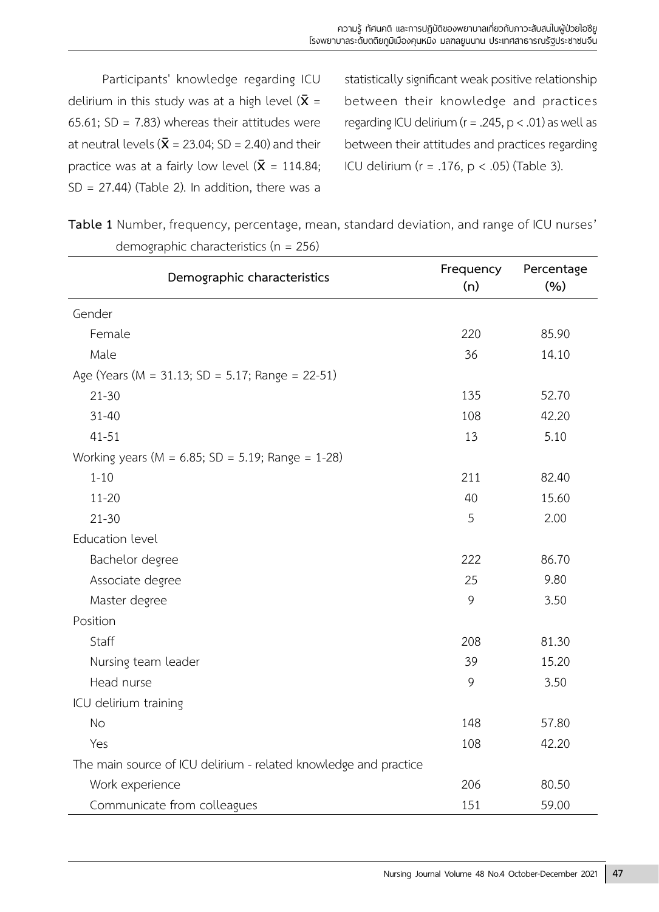Participants' knowledge regarding ICU delirium in this study was at a high level ( $\bar{x}$  = 65.61; SD = 7.83) whereas their attitudes were at neutral levels ( $\bar{\mathbf{X}}$  = 23.04; SD = 2.40) and their practice was at a fairly low level ( $\bar{x}$  = 114.84;  $SD = 27.44$ ) (Table 2). In addition, there was a

statistically significant weak positive relationship between their knowledge and practices regarding ICU delirium ( $r = .245$ ,  $p < .01$ ) as well as between their attitudes and practices regarding ICU delirium ( $r = .176$ ,  $p < .05$ ) (Table 3).

**Table 1** Number, frequency, percentage, mean, standard deviation, and range of ICU nurses' demographic characteristics (n = 256)

| Demographic characteristics                                      | Frequency<br>(n) | Percentage<br>(9/6) |
|------------------------------------------------------------------|------------------|---------------------|
| Gender                                                           |                  |                     |
| Female                                                           | 220              | 85.90               |
| Male                                                             | 36               | 14.10               |
| Age (Years (M = 31.13; SD = 5.17; Range = 22-51)                 |                  |                     |
| $21 - 30$                                                        | 135              | 52.70               |
| $31 - 40$                                                        | 108              | 42.20               |
| $41 - 51$                                                        | 13               | 5.10                |
| Working years ( $M = 6.85$ ; SD = 5.19; Range = 1-28)            |                  |                     |
| $1 - 10$                                                         | 211              | 82.40               |
| $11 - 20$                                                        | 40               | 15.60               |
| $21 - 30$                                                        | 5                | 2.00                |
| Education level                                                  |                  |                     |
| Bachelor degree                                                  | 222              | 86.70               |
| Associate degree                                                 | 25               | 9.80                |
| Master degree                                                    | 9                | 3.50                |
| Position                                                         |                  |                     |
| Staff                                                            | 208              | 81.30               |
| Nursing team leader                                              | 39               | 15.20               |
| Head nurse                                                       | 9                | 3.50                |
| ICU delirium training                                            |                  |                     |
| <b>No</b>                                                        | 148              | 57.80               |
| Yes                                                              | 108              | 42.20               |
| The main source of ICU delirium - related knowledge and practice |                  |                     |
| Work experience                                                  | 206              | 80.50               |
| Communicate from colleagues                                      | 151              | 59.00               |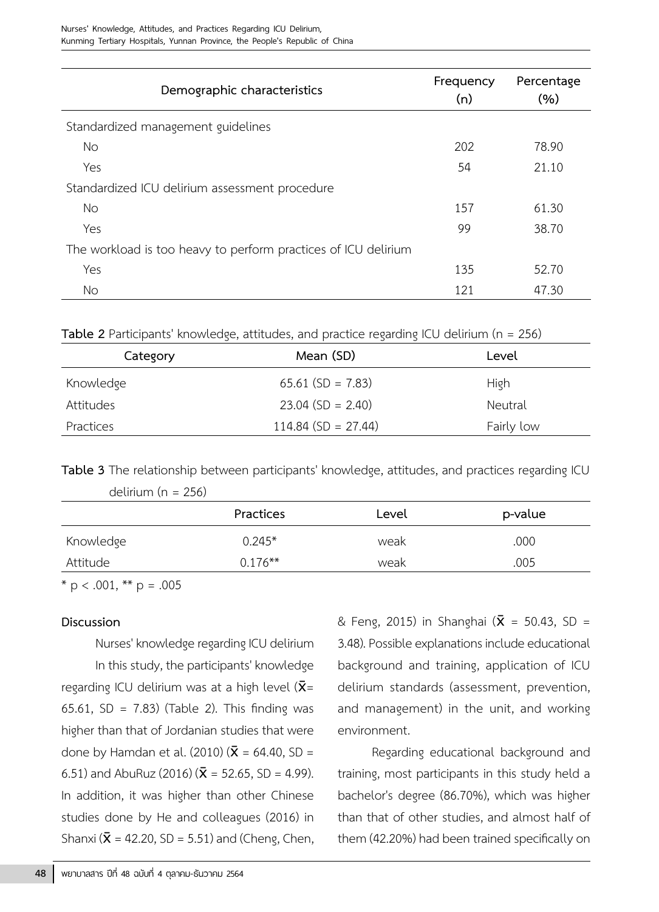| Demographic characteristics                                    | Frequency<br>(n) | Percentage<br>(%) |  |  |
|----------------------------------------------------------------|------------------|-------------------|--|--|
| Standardized management guidelines                             |                  |                   |  |  |
| No.                                                            | 202              | 78.90             |  |  |
| Yes                                                            | 54               | 21.10             |  |  |
| Standardized ICU delirium assessment procedure                 |                  |                   |  |  |
| <b>No</b>                                                      | 157              | 61.30             |  |  |
| Yes                                                            | 99               | 38.70             |  |  |
| The workload is too heavy to perform practices of ICU delirium |                  |                   |  |  |
| Yes                                                            | 135              | 52.70             |  |  |
| No                                                             | 121              | 47.30             |  |  |

**Table 2** Participants' knowledge, attitudes, and practice regarding ICU delirium (n = 256)

| Category  | Mean (SD)             | Level      |
|-----------|-----------------------|------------|
| Knowledge | $65.61$ (SD = 7.83)   | High       |
| Attitudes | $23.04$ (SD = 2.40)   | Neutral    |
| Practices | $114.84$ (SD = 27.44) | Fairly low |

**Table 3** The relationship between participants' knowledge, attitudes, and practices regarding ICU

delirium (n = 256)

|           | Practices  | Level | p-value |
|-----------|------------|-------|---------|
| Knowledge | $0.245*$   | weak  | .000    |
| Attitude  | $0.176***$ | weak  | .005    |

 $*$  p < .001,  $**$  p = .005

#### **Discussion**

Nurses' knowledge regarding ICU delirium In this study, the participants' knowledge regarding ICU delirium was at a high level ( $\bar{x}$ = 65.61, SD = 7.83) (Table 2). This finding was higher than that of Jordanian studies that were done by Hamdan et al. (2010) ( $\bar{x}$  = 64.40, SD = 6.51) and AbuRuz (2016) ( $\bar{\mathbf{X}}$  = 52.65, SD = 4.99). In addition, it was higher than other Chinese studies done by He and colleagues (2016) in Shanxi ( $\bar{x}$  = 42.20, SD = 5.51) and (Cheng, Chen,

& Feng, 2015) in Shanghai ( $\bar{x}$  = 50.43, SD = 3.48). Possible explanations include educational background and training, application of ICU delirium standards (assessment, prevention, and management) in the unit, and working environment.

Regarding educational background and training, most participants in this study held a bachelor's degree (86.70%), which was higher than that of other studies, and almost half of them (42.20%) had been trained specifically on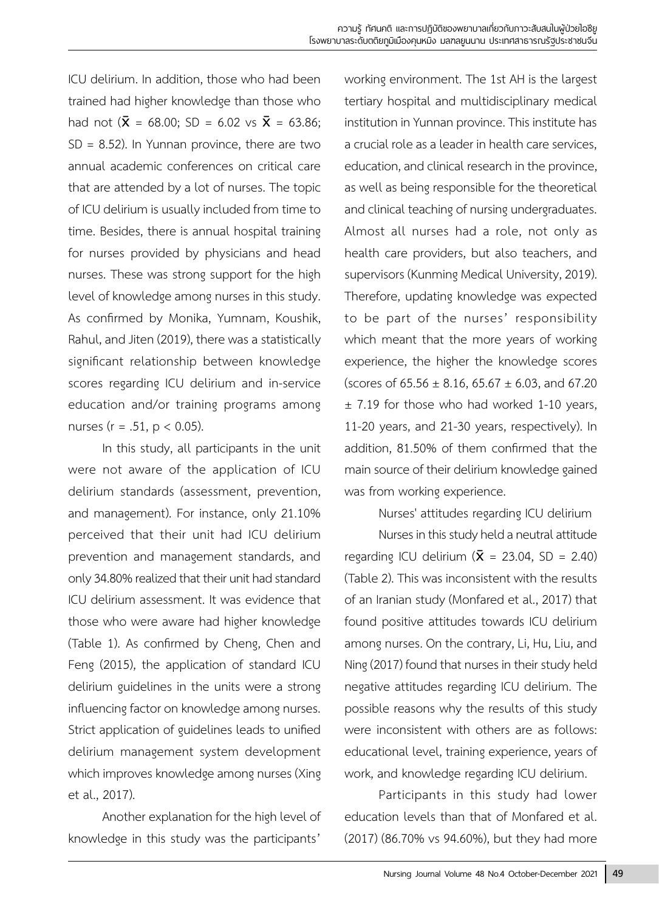ICU delirium. In addition, those who had been trained had higher knowledge than those who had not  $(\bar{X} = 68.00; SD = 6.02 \text{ vs } \bar{X} = 63.86;$  $SD = 8.52$ ). In Yunnan province, there are two annual academic conferences on critical care that are attended by a lot of nurses. The topic of ICU delirium is usually included from time to time. Besides, there is annual hospital training for nurses provided by physicians and head nurses. These was strong support for the high level of knowledge among nurses in this study. As confirmed by Monika, Yumnam, Koushik, Rahul, and Jiten (2019), there was a statistically significant relationship between knowledge scores regarding ICU delirium and in-service education and/or training programs among nurses ( $r = .51$ ,  $p < 0.05$ ).

In this study, all participants in the unit were not aware of the application of ICU delirium standards (assessment, prevention, and management). For instance, only 21.10% perceived that their unit had ICU delirium prevention and management standards, and only 34.80% realized that their unit had standard ICU delirium assessment. It was evidence that those who were aware had higher knowledge (Table 1). As confirmed by Cheng, Chen and Feng (2015), the application of standard ICU delirium guidelines in the units were a strong influencing factor on knowledge among nurses. Strict application of guidelines leads to unified delirium management system development which improves knowledge among nurses (Xing et al., 2017).

Another explanation for the high level of knowledge in this study was the participants'

working environment. The 1st AH is the largest tertiary hospital and multidisciplinary medical institution in Yunnan province. This institute has a crucial role as a leader in health care services, education, and clinical research in the province, as well as being responsible for the theoretical and clinical teaching of nursing undergraduates. Almost all nurses had a role, not only as health care providers, but also teachers, and supervisors (Kunming Medical University, 2019). Therefore, updating knowledge was expected to be part of the nurses' responsibility which meant that the more years of working experience, the higher the knowledge scores (scores of  $65.56 \pm 8.16$ ,  $65.67 \pm 6.03$ , and  $67.20$  $±$  7.19 for those who had worked 1-10 years, 11-20 years, and 21-30 years, respectively). In addition, 81.50% of them confirmed that the main source of their delirium knowledge gained was from working experience.

#### Nurses' attitudes regarding ICU delirium

Nurses in this study held a neutral attitude regarding ICU delirium ( $\bar{X}$  = 23.04, SD = 2.40) (Table 2). This was inconsistent with the results of an Iranian study (Monfared et al., 2017) that found positive attitudes towards ICU delirium among nurses. On the contrary, Li, Hu, Liu, and Ning (2017) found that nurses in their study held negative attitudes regarding ICU delirium. The possible reasons why the results of this study were inconsistent with others are as follows: educational level, training experience, years of work, and knowledge regarding ICU delirium.

Participants in this study had lower education levels than that of Monfared et al. (2017) (86.70% vs 94.60%), but they had more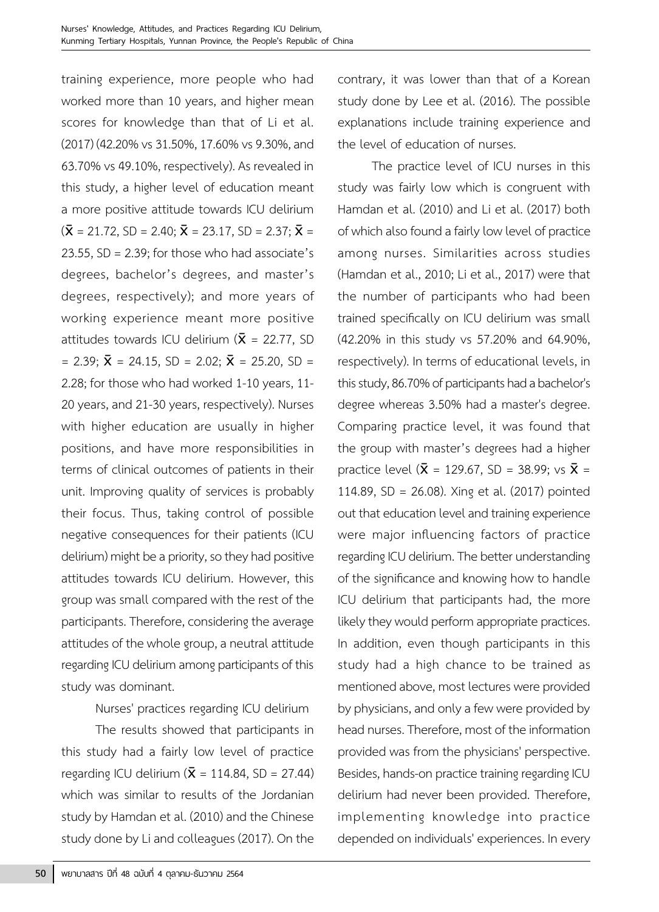training experience, more people who had worked more than 10 years, and higher mean scores for knowledge than that of Li et al. (2017) (42.20% vs 31.50%, 17.60% vs 9.30%, and 63.70% vs 49.10%, respectively). As revealed in this study, a higher level of education meant a more positive attitude towards ICU delirium  $({\bar{\mathbf{X}}} = 21.72, SD = 2.40; \bar{\mathbf{X}} = 23.17, SD = 2.37; \bar{\mathbf{X}} =$ 23.55, SD = 2.39; for those who had associate's degrees, bachelor's degrees, and master's degrees, respectively); and more years of working experience meant more positive attitudes towards ICU delirium ( $\bar{x}$  = 22.77, SD  $= 2.39$ ;  $\bar{X} = 24.15$ , SD = 2.02;  $\bar{X} = 25.20$ , SD = 2.28; for those who had worked 1-10 years, 11- 20 years, and 21-30 years, respectively). Nurses with higher education are usually in higher positions, and have more responsibilities in terms of clinical outcomes of patients in their unit. Improving quality of services is probably their focus. Thus, taking control of possible negative consequences for their patients (ICU delirium) might be a priority, so they had positive attitudes towards ICU delirium. However, this group was small compared with the rest of the participants. Therefore, considering the average attitudes of the whole group, a neutral attitude regarding ICU delirium among participants of this study was dominant.

Nurses' practices regarding ICU delirium

The results showed that participants in this study had a fairly low level of practice regarding ICU delirium  $(\bar{X} = 114.84, SD = 27.44)$ which was similar to results of the Jordanian study by Hamdan et al. (2010) and the Chinese study done by Li and colleagues (2017). On the

contrary, it was lower than that of a Korean study done by Lee et al. (2016). The possible explanations include training experience and the level of education of nurses.

The practice level of ICU nurses in this study was fairly low which is congruent with Hamdan et al. (2010) and Li et al. (2017) both of which also found a fairly low level of practice among nurses. Similarities across studies (Hamdan et al., 2010; Li et al., 2017) were that the number of participants who had been trained specifically on ICU delirium was small (42.20% in this study vs 57.20% and 64.90%, respectively). In terms of educational levels, in this study, 86.70% of participants had a bachelor's degree whereas 3.50% had a master's degree. Comparing practice level, it was found that the group with master's degrees had a higher practice level ( $\bar{x}$  = 129.67, SD = 38.99; vs  $\bar{x}$  = 114.89, SD = 26.08). Xing et al. (2017) pointed out that education level and training experience were major influencing factors of practice regarding ICU delirium. The better understanding of the significance and knowing how to handle ICU delirium that participants had, the more likely they would perform appropriate practices. In addition, even though participants in this study had a high chance to be trained as mentioned above, most lectures were provided by physicians, and only a few were provided by head nurses. Therefore, most of the information provided was from the physicians' perspective. Besides, hands-on practice training regarding ICU delirium had never been provided. Therefore, implementing knowledge into practice depended on individuals' experiences. In every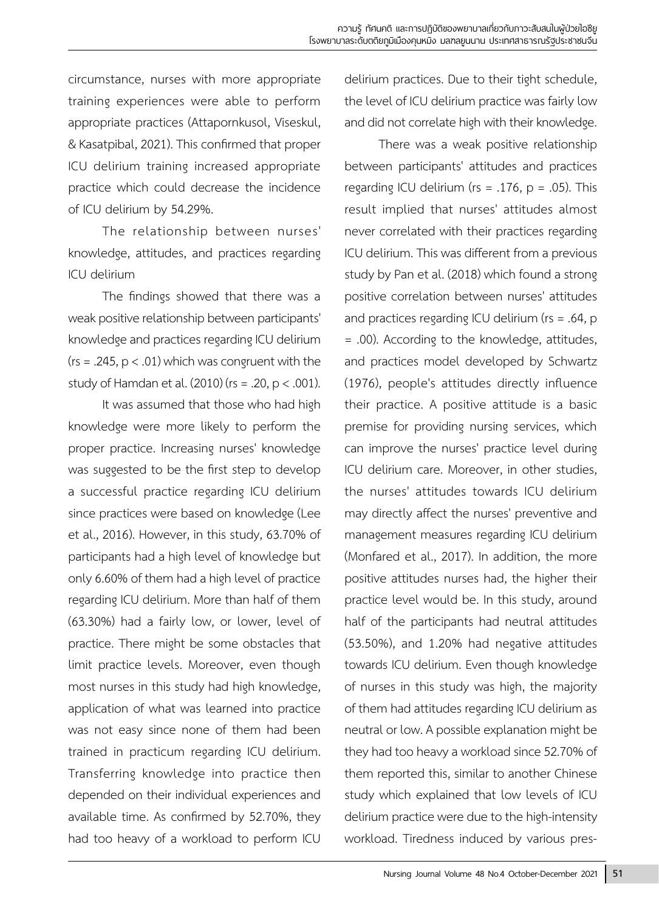circumstance, nurses with more appropriate training experiences were able to perform appropriate practices (Attapornkusol, Viseskul, & Kasatpibal, 2021). This confirmed that proper ICU delirium training increased appropriate practice which could decrease the incidence of ICU delirium by 54.29%.

The relationship between nurses' knowledge, attitudes, and practices regarding ICU delirium

The findings showed that there was a weak positive relationship between participants' knowledge and practices regarding ICU delirium  $(rs = .245, p < .01)$  which was congruent with the study of Hamdan et al.  $(2010)$  (rs = .20, p < .001).

It was assumed that those who had high knowledge were more likely to perform the proper practice. Increasing nurses' knowledge was suggested to be the first step to develop a successful practice regarding ICU delirium since practices were based on knowledge (Lee et al., 2016). However, in this study, 63.70% of participants had a high level of knowledge but only 6.60% of them had a high level of practice regarding ICU delirium. More than half of them (63.30%) had a fairly low, or lower, level of practice. There might be some obstacles that limit practice levels. Moreover, even though most nurses in this study had high knowledge, application of what was learned into practice was not easy since none of them had been trained in practicum regarding ICU delirium. Transferring knowledge into practice then depended on their individual experiences and available time. As confirmed by 52.70%, they had too heavy of a workload to perform ICU

delirium practices. Due to their tight schedule, the level of ICU delirium practice was fairly low and did not correlate high with their knowledge.

There was a weak positive relationship between participants' attitudes and practices regarding ICU delirium ( $rs = .176$ ,  $p = .05$ ). This result implied that nurses' attitudes almost never correlated with their practices regarding ICU delirium. This was different from a previous study by Pan et al. (2018) which found a strong positive correlation between nurses' attitudes and practices regarding ICU delirium (rs = .64, p = .00). According to the knowledge, attitudes, and practices model developed by Schwartz (1976), people's attitudes directly influence their practice. A positive attitude is a basic premise for providing nursing services, which can improve the nurses' practice level during ICU delirium care. Moreover, in other studies, the nurses' attitudes towards ICU delirium may directly affect the nurses' preventive and management measures regarding ICU delirium (Monfared et al., 2017). In addition, the more positive attitudes nurses had, the higher their practice level would be. In this study, around half of the participants had neutral attitudes (53.50%), and 1.20% had negative attitudes towards ICU delirium. Even though knowledge of nurses in this study was high, the majority of them had attitudes regarding ICU delirium as neutral or low. A possible explanation might be they had too heavy a workload since 52.70% of them reported this, similar to another Chinese study which explained that low levels of ICU delirium practice were due to the high-intensity workload. Tiredness induced by various pres-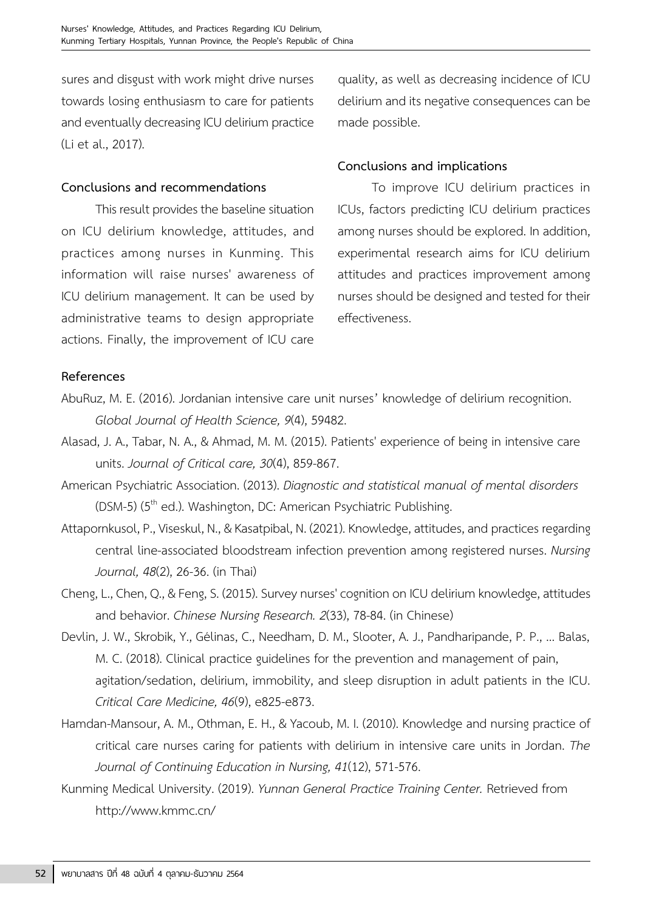sures and disgust with work might drive nurses towards losing enthusiasm to care for patients and eventually decreasing ICU delirium practice (Li et al., 2017).

#### **Conclusions and recommendations**

This result provides the baseline situation on ICU delirium knowledge, attitudes, and practices among nurses in Kunming. This information will raise nurses' awareness of ICU delirium management. It can be used by administrative teams to design appropriate actions. Finally, the improvement of ICU care

quality, as well as decreasing incidence of ICU delirium and its negative consequences can be made possible.

#### **Conclusions and implications**

To improve ICU delirium practices in ICUs, factors predicting ICU delirium practices among nurses should be explored. In addition, experimental research aims for ICU delirium attitudes and practices improvement among nurses should be designed and tested for their effectiveness.

#### **References**

- AbuRuz, M. E. (2016). Jordanian intensive care unit nurses' knowledge of delirium recognition. *Global Journal of Health Science, 9*(4), 59482.
- Alasad, J. A., Tabar, N. A., & Ahmad, M. M. (2015). Patients' experience of being in intensive care units. *Journal of Critical care, 30*(4), 859-867.
- American Psychiatric Association. (2013). *Diagnostic and statistical manual of mental disorders*  (DSM-5) (5<sup>th</sup> ed.). Washington, DC: American Psychiatric Publishing.
- Attapornkusol, P., Viseskul, N., & Kasatpibal, N. (2021). Knowledge, attitudes, and practices regarding central line-associated bloodstream infection prevention among registered nurses. *Nursing Journal, 48*(2), 26-36. (in Thai)
- Cheng, L., Chen, Q., & Feng, S. (2015). Survey nurses' cognition on ICU delirium knowledge, attitudes and behavior. *Chinese Nursing Research. 2*(33), 78-84. (in Chinese)
- Devlin, J. W., Skrobik, Y., Gélinas, C., Needham, D. M., Slooter, A. J., Pandharipande, P. P., ... Balas, M. C. (2018). Clinical practice guidelines for the prevention and management of pain, agitation/sedation, delirium, immobility, and sleep disruption in adult patients in the ICU. *Critical Care Medicine, 46*(9), e825-e873.
- Hamdan-Mansour, A. M., Othman, E. H., & Yacoub, M. I. (2010). Knowledge and nursing practice of critical care nurses caring for patients with delirium in intensive care units in Jordan. *The Journal of Continuing Education in Nursing, 41*(12), 571-576.
- Kunming Medical University. (2019). *Yunnan General Practice Training Center.* Retrieved from http://www.kmmc.cn/